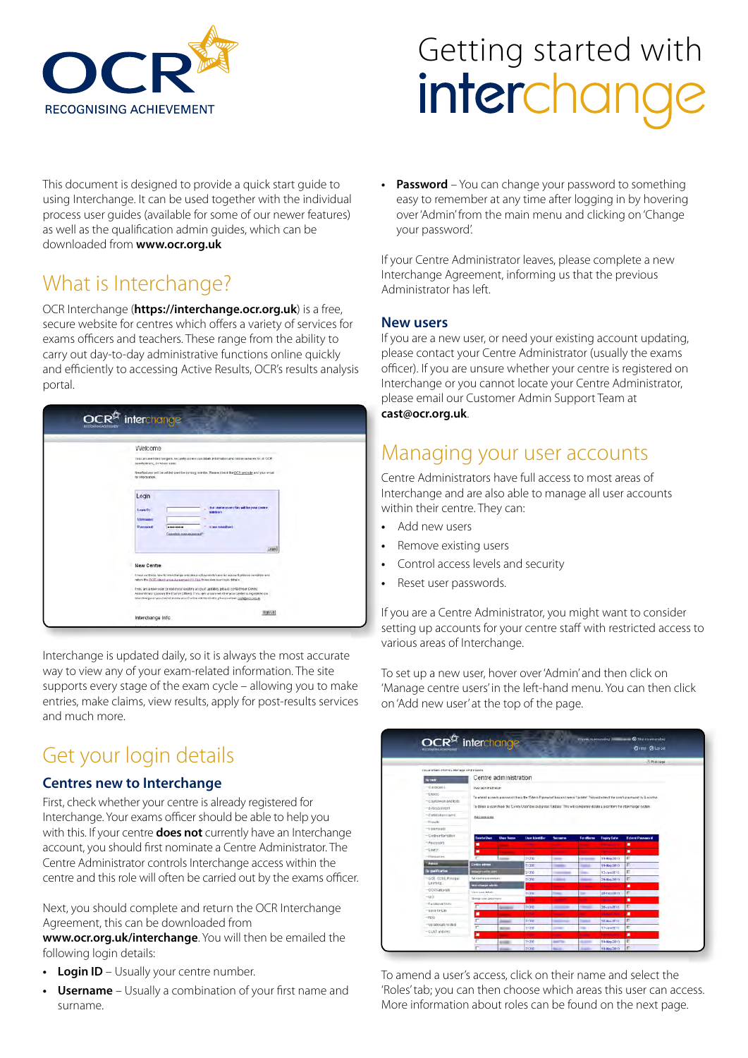

# Getting started with<br> **interchande**

This document is designed to provide a quick start guide to using Interchange. It can be used together with the individual process user guides (available for some of our newer features) as well as the qualification admin guides, which can be downloaded from **www.ocr.org.uk**

## What is Interchange?

OCR Interchange (**https://interchange.ocr.org.uk**) is a free, secure website for centres which offers a variety of services for exams officers and teachers. These range from the ability to carry out day-to-day administrative functions online quickly and efficiently to accessing Active Results, OCR's results analysis portal.



Interchange is updated daily, so it is always the most accurate way to view any of your exam-related information. The site supports every stage of the exam cycle – allowing you to make entries, make claims, view results, apply for post-results services and much more.

## Get your login details

#### **Centres new to Interchange**

First, check whether your centre is already registered for Interchange. Your exams officer should be able to help you with this. If your centre **does not** currently have an Interchange account, you should first nominate a Centre Administrator. The Centre Administrator controls Interchange access within the centre and this role will often be carried out by the exams officer.

Next, you should complete and return the OCR Interchange Agreement, this can be downloaded from

**www.ocr.org.uk/interchange**. You will then be emailed the following login details:

- **Login ID** Usually your centre number.
- **Username** Usually a combination of your first name and surname.

**Password** – You can change your password to something easy to remember at any time after logging in by hovering over 'Admin' from the main menu and clicking on 'Change your password'.

If your Centre Administrator leaves, please complete a new Interchange Agreement, informing us that the previous Administrator has left.

#### **New users**

If you are a new user, or need your existing account updating, please contact your Centre Administrator (usually the exams officer). If you are unsure whether your centre is registered on Interchange or you cannot locate your Centre Administrator, please email our Customer Admin Support Team at **cast@ocr.org.uk**.

## Managing your user accounts

Centre Administrators have full access to most areas of Interchange and are also able to manage all user accounts within their centre. They can:

- **•** Add new users
- **•** Remove existing users
- **•** Control access levels and security
- **•** Reset user passwords.

If you are a Centre Administrator, you might want to consider setting up accounts for your centre staff with restricted access to various areas of Interchange.

To set up a new user, hover over 'Admin' and then click on 'Manage centre users' in the left-hand menu. You can then click on 'Add new user' at the top of the page.



To amend a user's access, click on their name and select the 'Roles' tab; you can then choose which areas this user can access. More information about roles can be found on the next page.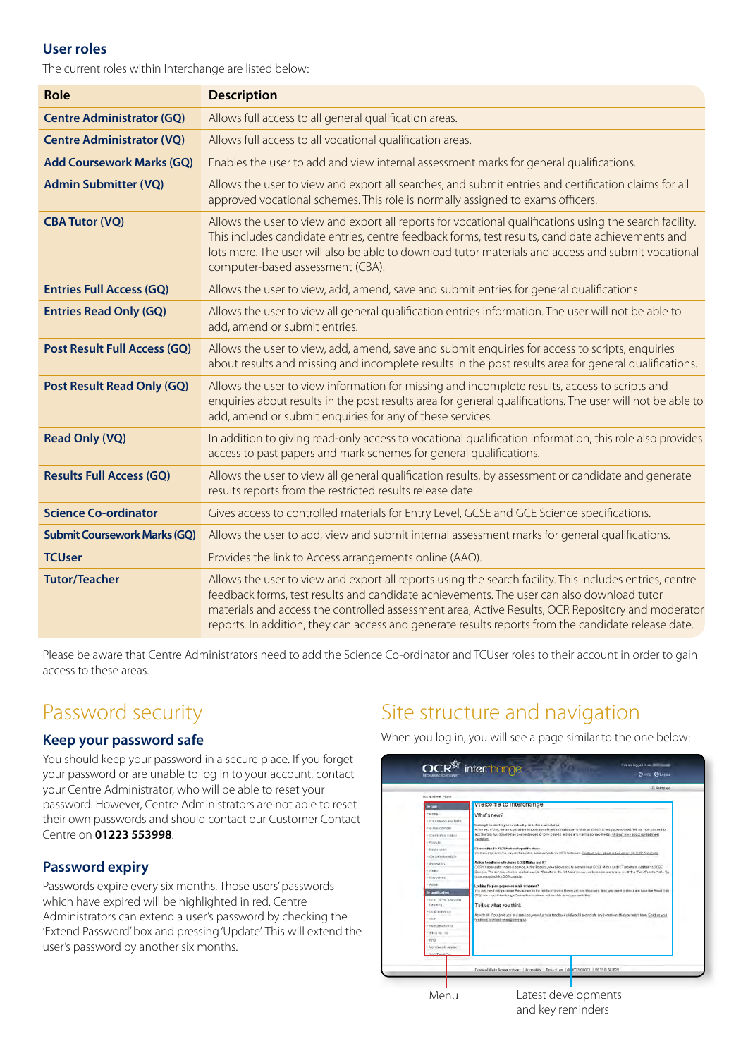#### **User roles**

The current roles within Interchange are listed below:

| <b>Role</b>                         | <b>Description</b>                                                                                                                                                                                                                                                                                                                                                                                               |
|-------------------------------------|------------------------------------------------------------------------------------------------------------------------------------------------------------------------------------------------------------------------------------------------------------------------------------------------------------------------------------------------------------------------------------------------------------------|
| <b>Centre Administrator (GQ)</b>    | Allows full access to all general qualification areas.                                                                                                                                                                                                                                                                                                                                                           |
| <b>Centre Administrator (VQ)</b>    | Allows full access to all vocational qualification areas.                                                                                                                                                                                                                                                                                                                                                        |
| <b>Add Coursework Marks (GQ)</b>    | Enables the user to add and view internal assessment marks for general qualifications.                                                                                                                                                                                                                                                                                                                           |
| <b>Admin Submitter (VQ)</b>         | Allows the user to view and export all searches, and submit entries and certification claims for all<br>approved vocational schemes. This role is normally assigned to exams officers.                                                                                                                                                                                                                           |
| <b>CBA Tutor (VQ)</b>               | Allows the user to view and export all reports for vocational qualifications using the search facility.<br>This includes candidate entries, centre feedback forms, test results, candidate achievements and<br>lots more. The user will also be able to download tutor materials and access and submit vocational<br>computer-based assessment (CBA).                                                            |
| <b>Entries Full Access (GQ)</b>     | Allows the user to view, add, amend, save and submit entries for general qualifications.                                                                                                                                                                                                                                                                                                                         |
| <b>Entries Read Only (GQ)</b>       | Allows the user to view all general qualification entries information. The user will not be able to<br>add, amend or submit entries.                                                                                                                                                                                                                                                                             |
| <b>Post Result Full Access (GQ)</b> | Allows the user to view, add, amend, save and submit enquiries for access to scripts, enquiries<br>about results and missing and incomplete results in the post results area for general qualifications.                                                                                                                                                                                                         |
| <b>Post Result Read Only (GQ)</b>   | Allows the user to view information for missing and incomplete results, access to scripts and<br>enquiries about results in the post results area for general qualifications. The user will not be able to<br>add, amend or submit enquiries for any of these services.                                                                                                                                          |
| <b>Read Only (VQ)</b>               | In addition to giving read-only access to vocational qualification information, this role also provides<br>access to past papers and mark schemes for general qualifications.                                                                                                                                                                                                                                    |
| <b>Results Full Access (GQ)</b>     | Allows the user to view all general qualification results, by assessment or candidate and generate<br>results reports from the restricted results release date.                                                                                                                                                                                                                                                  |
| <b>Science Co-ordinator</b>         | Gives access to controlled materials for Entry Level, GCSE and GCE Science specifications.                                                                                                                                                                                                                                                                                                                       |
| <b>Submit Coursework Marks (GQ)</b> | Allows the user to add, view and submit internal assessment marks for general qualifications.                                                                                                                                                                                                                                                                                                                    |
| <b>TCUser</b>                       | Provides the link to Access arrangements online (AAO).                                                                                                                                                                                                                                                                                                                                                           |
| <b>Tutor/Teacher</b>                | Allows the user to view and export all reports using the search facility. This includes entries, centre<br>feedback forms, test results and candidate achievements. The user can also download tutor<br>materials and access the controlled assessment area, Active Results, OCR Repository and moderator<br>reports. In addition, they can access and generate results reports from the candidate release date. |

Please be aware that Centre Administrators need to add the Science Co-ordinator and TCUser roles to their account in order to gain access to these areas.

## Password security

#### **Keep your password safe**

You should keep your password in a secure place. If you forget your password or are unable to log in to your account, contact your Centre Administrator, who will be able to reset your password. However, Centre Administrators are not able to reset their own passwords and should contact our Customer Contact Centre on **01223 553998**.

#### **Password expiry**

Passwords expire every six months. Those users' passwords which have expired will be highlighted in red. Centre Administrators can extend a user's password by checking the 'Extend Password' box and pressing 'Update'. This will extend the user's password by another six months.

## Site structure and navigation

When you log in, you will see a page similar to the one below:

| The applicate Hinton                                                                                                                                                                                                                                                                                                                                                    |                                                                                                                                                                                                                                                                                                                                                                                                                                                                                                                                                                                                                                                                                                                                                                                                                                                                                                                                                                                                                                                                                                                                                                                                                                                                                                                                                                                                                           |
|-------------------------------------------------------------------------------------------------------------------------------------------------------------------------------------------------------------------------------------------------------------------------------------------------------------------------------------------------------------------------|---------------------------------------------------------------------------------------------------------------------------------------------------------------------------------------------------------------------------------------------------------------------------------------------------------------------------------------------------------------------------------------------------------------------------------------------------------------------------------------------------------------------------------------------------------------------------------------------------------------------------------------------------------------------------------------------------------------------------------------------------------------------------------------------------------------------------------------------------------------------------------------------------------------------------------------------------------------------------------------------------------------------------------------------------------------------------------------------------------------------------------------------------------------------------------------------------------------------------------------------------------------------------------------------------------------------------------------------------------------------------------------------------------------------------|
| <b>Dy Line</b>                                                                                                                                                                                                                                                                                                                                                          | Welcome to interchange                                                                                                                                                                                                                                                                                                                                                                                                                                                                                                                                                                                                                                                                                                                                                                                                                                                                                                                                                                                                                                                                                                                                                                                                                                                                                                                                                                                                    |
| - ENR&V<br>Chiamwork and body.<br>FIRSTER ALL 11<br>Certification risitents<br>$-$ Eldric En<br>· PERANDARI<br>Cartia information<br>Associates<br>1 National<br>$+ i$ cacoasces<br>· Admin<br><b>Dy carattication</b><br>1 OCE DCTE Preside<br>Leaning<br>+CCRTIMMAE<br>69.<br>n Functional Delix<br>* S\$15 TO 170<br>· FINO<br>- Vorwahrsiterwater<br>CLAIR and Blue | What's new?<br>Making it kosale for you to stability our certifies and chimni-<br>At the end of Juni, we announced the introduction infoorties is velocition in the Kay Kiel s Wall onty spreadsheet. We are how plassed to<br>200 line that functionality has been educated to come pass 10 antique and crame aprasocheets. Find agrimme about states and the<br><b>CASSING</b><br>(Saan relieve for OCR Nationalis qualifications)<br>WA REN PROVINTER WAY DOTTED KEITH SCREWEIGHTS RETOOT FAILERMS . Find out thore EBALCOTAN CENTERS COR FEEDINGS<br>Active Designs role to always GCSE Matter and KT<br>OCR's thro insults analysis powde. Astive Rogults, now ployer you to analyse your OCCE Mattis and ICT repulse in addition to OCCE.<br>Downce. The service, which is available under Treasury in the left-hand menu, can be accessed bristings with the TuconTonstret role. Eg<br>wammore visit the OCP writering.<br>Looking for past papers or mark schemen?<br>You rust need follock preser Pleasures in the letth and steer a Meseopard need this meet, then people a theological base the "Snad Only<br>(V2) who - your intenduary of Centre Actritical plan will be adds in help seconds this<br>Tell us what you think<br>As with all of our products and penicos, we take your fincitians end would appreciate any comments that you ment thore. Send as your<br>fendoock to intent ensold interal.k. |

and key reminders